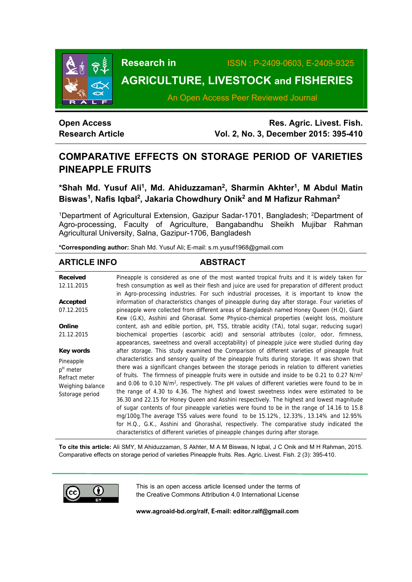

**Research in** ISSN : P-2409-0603, E-2409-9325

# **AGRICULTURE, LIVESTOCK and FISHERIES**

An Open Access Peer Reviewed Journal

# **Open Access Research Article**

**Res. Agric. Livest. Fish. Vol. 2, No. 3, December 2015: 395-410**

# **COMPARATIVE EFFECTS ON STORAGE PERIOD OF VARIETIES PINEAPPLE FRUITS**

**\*Shah Md. Yusuf Ali1, Md. Ahiduzzaman2, Sharmin Akhter1, M Abdul Matin Biswas1, Nafis Iqbal2, Jakaria Chowdhury Onik2 and M Hafizur Rahman2** 

<sup>1</sup>Department of Agricultural Extension, Gazipur Sadar-1701, Bangladesh; <sup>2</sup>Department of Agro-processing, Faculty of Agriculture, Bangabandhu Sheikh Mujibar Rahman Agricultural University, Salna, Gazipur-1706, Bangladesh

**\*Corresponding author:** Shah Md. Yusuf Ali; E-mail: s.m.yusuf1968@gmail.com

# **ARTICLE INFO ABSTRACT**

| Received         | Pineapple is considered as one of the most wanted tropical fruits and it is widely taken for               |
|------------------|------------------------------------------------------------------------------------------------------------|
| 12.11.2015       | fresh consumption as well as their flesh and juice are used for preparation of different product           |
|                  | in Agro-processing industries. For such industrial processes, it is important to know the                  |
| Accepted         | information of characteristics changes of pineapple during day after storage. Four varieties of            |
| 07.12.2015       | pineapple were collected from different areas of Bangladesh named Honey Queen (H.Q), Giant                 |
|                  | Kew (G.K), Asshini and Ghorasal. Some Physico-chemical properties (weight loss, moisture                   |
| Online           | content, ash and edible portion, pH, TSS, titrable acidity (TA), total sugar, reducing sugar)              |
| 21.12.2015       | biochemical properties (ascorbic acid) and sensorial attributes (color, odor, firmness,                    |
|                  | appearances, sweetness and overall acceptability) of pineapple juice were studied during day               |
| Key words        | after storage. This study examined the Comparison of different varieties of pineapple fruit                |
| Pineapple        | characteristics and sensory quality of the pineapple fruits during storage. It was shown that              |
| $pH$ meter       | there was a significant changes between the storage periods in relation to different varieties             |
| Refract meter    | of fruits. The firmness of pineapple fruits were in outside and inside to be 0.21 to 0.27 N/m <sup>2</sup> |
| Weighing balance | and 0.06 to 0.10 N/m <sup>2</sup> , respectively. The pH values of different varieties were found to be in |
| Sstorage period  | the range of 4.30 to 4.36. The highest and lowest sweetness index were estimated to be                     |
|                  | 36.30 and 22.15 for Honey Queen and Asshini respectively. The highest and lowest magnitude                 |
|                  | of sugar contents of four pineapple varieties were found to be in the range of 14.16 to 15.8               |
|                  | mg/100g. The average TSS values were found to be 15.12%, 12.33%, 13.14% and 12.95%                         |
|                  | for H.Q., G.K., Asshini and Ghorashal, respectively. The comparative study indicated the                   |
|                  | characteristics of different varieties of pineapple changes during after storage.                          |

**To cite this article:** Ali SMY, M Ahiduzzaman, S Akhter, M A M Biswas, N Iqbal, J C Onik and M H Rahman, 2015. Comparative effects on storage period of varieties Pineapple fruits. Res. Agric. Livest. Fish. 2 (3): 395-410.



This is an open access article licensed under the terms of the Creative Commons Attribution 4.0 International License

**www.agroaid-bd.org/ralf, E-mail: editor.ralf@gmail.com**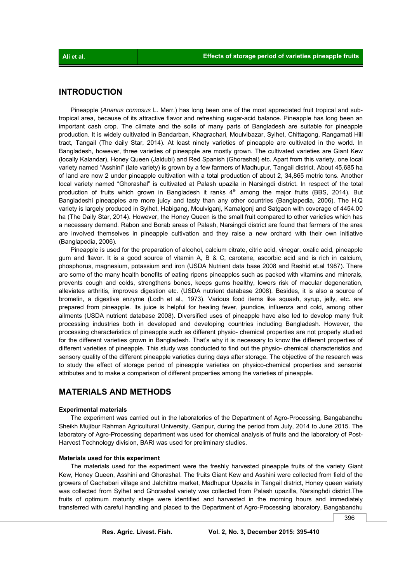# **INTRODUCTION**

 Pineapple (*Ananus comosus* L. Merr.) has long been one of the most appreciated fruit tropical and subtropical area, because of its attractive flavor and refreshing sugar-acid balance. Pineapple has long been an important cash crop. The climate and the soils of many parts of Bangladesh are suitable for pineapple production. It is widely cultivated in Bandarban, Khagrachari, Moulvibazar, Sylhet, Chittagong, Rangamati Hill tract, Tangail (The daily Star, 2014). At least ninety varieties of pineapple are cultivated in the world. In Bangladesh, however, three varieties of pineapple are mostly grown. The cultivated varieties are Giant Kew (locally Kalandar), Honey Queen (Jaldubi) and Red Spanish (Ghorashal) etc. Apart from this variety, one local variety named "Asshini" (late variety) is grown by a few farmers of Madhupur, Tangail district. About 45,685 ha of land are now 2 under pineapple cultivation with a total production of about 2, 34,865 metric tons. Another local variety named "Ghorashal" is cultivated at Palash upazila in Narsingdi district. In respect of the total production of fruits which grown in Bangladesh it ranks  $4<sup>th</sup>$  among the major fruits (BBS, 2014). But Bangladeshi pineapples are more juicy and tasty than any other countries (Banglapedia, 2006). The H.Q variety is largely produced in Sylhet, Habigang, Moulviganj, Kamalgonj and Satgaon with coverage of 4454.00 ha (The Daily Star, 2014). However, the Honey Queen is the small fruit compared to other varieties which has a necessary demand. Rabon and Borab areas of Palash, Narsingdi district are found that farmers of the area are involved themselves in pineapple cultivation and they raise a new orchard with their own initiative (Banglapedia, 2006).

 Pineapple is used for the preparation of alcohol, calcium citrate, citric acid, vinegar, oxalic acid, pineapple gum and flavor. It is a good source of vitamin A, B & C, carotene, ascorbic acid and is rich in calcium, phosphorus, magnesium, potassium and iron (USDA Nutrient data base 2008 and Rashid et.al 1987). There are some of the many health benefits of eating ripens pineapples such as packed with vitamins and minerals, prevents cough and colds, strengthens bones, keeps gums healthy, lowers risk of macular degeneration, alleviates arthritis, improves digestion etc. (USDA nutrient database 2008). Besides, it is also a source of bromelin, a digestive enzyme (Lodh et al., 1973). Various food items like squash, syrup, jelly, etc. are prepared from pineapple. Its juice is helpful for healing fever, jaundice, influenza and cold, among other ailments (USDA nutrient database 2008). Diversified uses of pineapple have also led to develop many fruit processing industries both in developed and developing countries including Bangladesh. However, the processing characteristics of pineapple such as different physio- chemical properties are not properly studied for the different varieties grown in Bangladesh. That's why it is necessary to know the different properties of different varieties of pineapple. This study was conducted to find out the physio- chemical characteristics and sensory quality of the different pineapple varieties during days after storage. The objective of the research was to study the effect of storage period of pineapple varieties on physico-chemical properties and sensorial attributes and to make a comparison of different properties among the varieties of pineapple.

# **MATERIALS AND METHODS**

# **Experimental materials**

 The experiment was carried out in the laboratories of the Department of Agro-Processing, Bangabandhu Sheikh Mujibur Rahman Agricultural University, Gazipur, during the period from July, 2014 to June 2015. The laboratory of Agro-Processing department was used for chemical analysis of fruits and the laboratory of Post-Harvest Technology division, BARI was used for preliminary studies.

## **Materials used for this experiment**

 The materials used for the experiment were the freshly harvested pineapple fruits of the variety Giant Kew, Honey Queen, Asshini and Ghorashal. The fruits Giant Kew and Asshini were collected from field of the growers of Gachabari village and Jalchittra market, Madhupur Upazila in Tangail district, Honey queen variety was collected from Sylhet and Ghorashal variety was collected from Palash upazilla, Narsinghdi district.The fruits of optimum maturity stage were identified and harvested in the morning hours and immediately transferred with careful handling and placed to the Department of Agro-Processing laboratory, Bangabandhu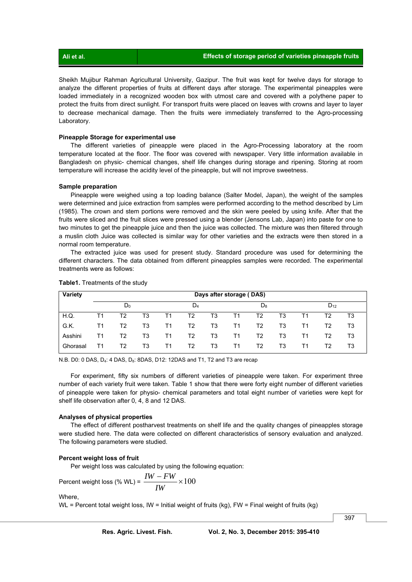| Ali et al. | Effects of storage period of varieties pineapple fruits |
|------------|---------------------------------------------------------|
|            |                                                         |

Sheikh Mujibur Rahman Agricultural University, Gazipur. The fruit was kept for twelve days for storage to analyze the different properties of fruits at different days after storage. The experimental pineapples were loaded immediately in a recognized wooden box with utmost care and covered with a polythene paper to protect the fruits from direct sunlight. For transport fruits were placed on leaves with crowns and layer to layer to decrease mechanical damage. Then the fruits were immediately transferred to the Agro-processing Laboratory.

### **Pineapple Storage for experimental use**

 The different varieties of pineapple were placed in the Agro-Processing laboratory at the room temperature located at the floor. The floor was covered with newspaper. Very little information available in Bangladesh on physic- chemical changes, shelf life changes during storage and ripening. Storing at room temperature will increase the acidity level of the pineapple, but will not improve sweetness.

# **Sample preparation**

 Pineapple were weighed using a top loading balance (Salter Model, Japan), the weight of the samples were determined and juice extraction from samples were performed according to the method described by Lim (1985). The crown and stem portions were removed and the skin were peeled by using knife. After that the fruits were sliced and the fruit slices were pressed using a blender (Jensons Lab, Japan) into paste for one to two minutes to get the pineapple juice and then the juice was collected. The mixture was then filtered through a muslin cloth Juice was collected is similar way for other varieties and the extracts were then stored in a normal room temperature.

 The extracted juice was used for present study. Standard procedure was used for determining the different characters. The data obtained from different pineapples samples were recorded. The experimental treatments were as follows:

| Variety  |       | Days after storage (DAS) |    |    |       |    |    |       |    |          |    |    |  |
|----------|-------|--------------------------|----|----|-------|----|----|-------|----|----------|----|----|--|
|          | $D_0$ |                          |    |    | $D_4$ |    |    | $D_8$ |    | $D_{12}$ |    |    |  |
| H.Q.     | Τ1    | T2                       | T3 | Τ1 | Т2    | T3 | Τ1 | T2    | T3 | Τ1       | Т2 | T3 |  |
| G.K.     | Τ1    | T2                       | T3 | Τ1 | T2    | T3 | T1 | T2    | T3 | Τ1       | Т2 | T3 |  |
| Asshini  | Τ1    | T2                       | T3 | Τ1 | T2    | T3 | T1 | T2    | T3 | Τ1       | Т2 | T3 |  |
| Ghorasal | Τ1    | T2                       | T3 | Τ1 | Т2    | T3 | T1 | Т2    | T3 | Τ1       | Τ2 | T3 |  |

#### **Table1.** Treatments of the study

N.B. D0: 0 DAS, D<sub>4</sub>: 4 DAS, D<sub>8</sub>: 8DAS, D12: 12DAS and T1, T2 and T3 are recap

 For experiment, fifty six numbers of different varieties of pineapple were taken. For experiment three number of each variety fruit were taken. Table 1 show that there were forty eight number of different varieties of pineapple were taken for physio- chemical parameters and total eight number of varieties were kept for shelf life observation after 0, 4, 8 and 12 DAS.

#### **Analyses of physical properties**

 The effect of different postharvest treatments on shelf life and the quality changes of pineapples storage were studied here. The data were collected on different characteristics of sensory evaluation and analyzed. The following parameters were studied.

# **Percent weight loss of fruit**

Per weight loss was calculated by using the following equation:

Percent weight loss (
$$
\% W_L
$$
) =  $\frac{IW - FW}{IW} \times 100$ 

Where,

WL = Percent total weight loss, IW = Initial weight of fruits  $(kg)$ , FW = Final weight of fruits  $(kg)$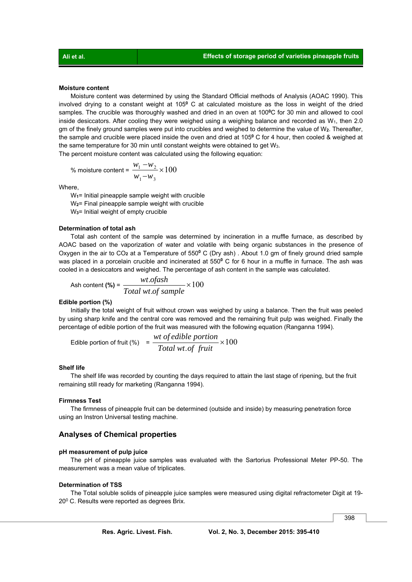# **Moisture content**

 Moisture content was determined by using the Standard Official methods of Analysis (AOAC 1990). This involved drying to a constant weight at 105**<sup>0</sup>** C at calculated moisture as the loss in weight of the dried samples. The crucible was thoroughly washed and dried in an oven at 100<sup>o</sup>C for 30 min and allowed to cool inside desiccators. After cooling they were weighed using a weighing balance and recorded as  $W_1$ , then 2.0 gm of the finely ground samples were put into crucibles and weighed to determine the value of W**2**. Thereafter, the sample and crucible were placed inside the oven and dried at 105**<sup>0</sup>** C for 4 hour, then cooled & weighed at the same temperature for 30 min until constant weights were obtained to get W<sub>3</sub>. The percent moisture content was calculated using the following equation:

% moisture content = 
$$
\frac{w_1 - w_2}{w_1 - w_3} \times 100
$$

Where,

W<sub>1</sub>= Initial pineapple sample weight with crucible W<sub>2</sub>= Final pineapple sample weight with crucible W**3**= Initial weight of empty crucible

#### **Determination of total ash**

 Total ash content of the sample was determined by incineration in a muffle furnace, as described by AOAC based on the vaporization of water and volatile with being organic substances in the presence of Oxygen in the air to CO**2** at a Temperature of 550**<sup>0</sup>** C (Dry ash) . About 1.0 gm of finely ground dried sample was placed in a porcelain crucible and incinerated at 550**<sup>0</sup>** C for 6 hour in a muffle in furnace. The ash was cooled in a desiccators and weighed. The percentage of ash content in the sample was calculated.

$$
ext{Ash content (*)} = \frac{wt.ofash}{Total wt.of sample} \times 100
$$

#### **Edible portion (%)**

 Initially the total weight of fruit without crown was weighed by using a balance. Then the fruit was peeled by using sharp knife and the central core was removed and the remaining fruit pulp was weighed. Finally the percentage of edible portion of the fruit was measured with the following equation (Ranganna 1994).

$$
E \text{dible portion of fruit } (\%) = \frac{wt \text{ of } edible \text{ portion}}{\text{Total wt. of fruit}} \times 100
$$

#### **Shelf life**

 The shelf life was recorded by counting the days required to attain the last stage of ripening, but the fruit remaining still ready for marketing (Ranganna 1994).

#### **Firmness Test**

 The firmness of pineapple fruit can be determined (outside and inside) by measuring penetration force using an Instron Universal testing machine.

# **Analyses of Chemical properties**

## **pH measurement of pulp juice**

 The pH of pineapple juice samples was evaluated with the Sartorius Professional Meter PP-50. The measurement was a mean value of triplicates.

# **Determination of TSS**

 The Total soluble solids of pineapple juice samples were measured using digital refractometer Digit at 19- 20<sup>0</sup> C. Results were reported as degrees Brix.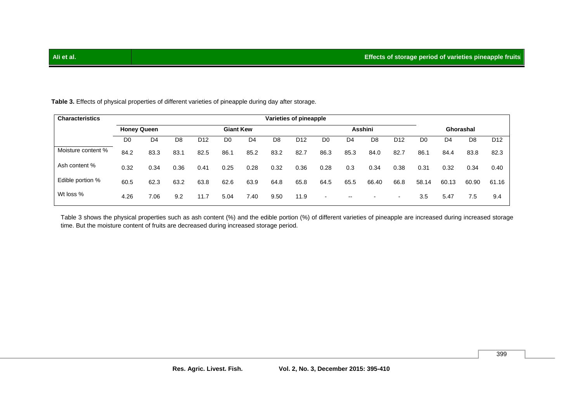| <b>Characteristics</b> | Varieties of pineapple |                |                |                  |                |                |                |         |                          |                          |                          |                          |                |                |                |                 |
|------------------------|------------------------|----------------|----------------|------------------|----------------|----------------|----------------|---------|--------------------------|--------------------------|--------------------------|--------------------------|----------------|----------------|----------------|-----------------|
|                        | <b>Honey Queen</b>     |                |                | <b>Giant Kew</b> |                |                |                | Asshini |                          |                          |                          |                          | Ghorashal      |                |                |                 |
|                        | D <sub>0</sub>         | D <sub>4</sub> | D <sub>8</sub> | D <sub>12</sub>  | D <sub>0</sub> | D <sub>4</sub> | D <sub>8</sub> | D12     | D <sub>0</sub>           | D <sub>4</sub>           | D <sub>8</sub>           | D12                      | D <sub>0</sub> | D <sub>4</sub> | D <sub>8</sub> | D <sub>12</sub> |
| Moisture content %     | 84.2                   | 83.3           | 83.1           | 82.5             | 86.1           | 85.2           | 83.2           | 82.7    | 86.3                     | 85.3                     | 84.0                     | 82.7                     | 86.1           | 84.4           | 83.8           | 82.3            |
| Ash content %          | 0.32                   | 0.34           | 0.36           | 0.41             | 0.25           | 0.28           | 0.32           | 0.36    | 0.28                     | 0.3                      | 0.34                     | 0.38                     | 0.31           | 0.32           | 0.34           | 0.40            |
| Edible portion %       | 60.5                   | 62.3           | 63.2           | 63.8             | 62.6           | 63.9           | 64.8           | 65.8    | 64.5                     | 65.5                     | 66.40                    | 66.8                     | 58.14          | 60.13          | 60.90          | 61.16           |
| Wt loss %              | 4.26                   | 7.06           | 9.2            | 11.7             | 5.04           | 7.40           | 9.50           | 11.9    | $\overline{\phantom{a}}$ | $\overline{\phantom{a}}$ | $\overline{\phantom{a}}$ | $\overline{\phantom{a}}$ | 3.5            | 5.47           | 7.5            | 9.4             |

**Table 3.** Effects of physical properties of different varieties of pineapple during day after storage.

 Table 3 shows the physical properties such as ash content (%) and the edible portion (%) of different varieties of pineapple are increased during increased storage time. But the moisture content of fruits are decreased during increased storage period.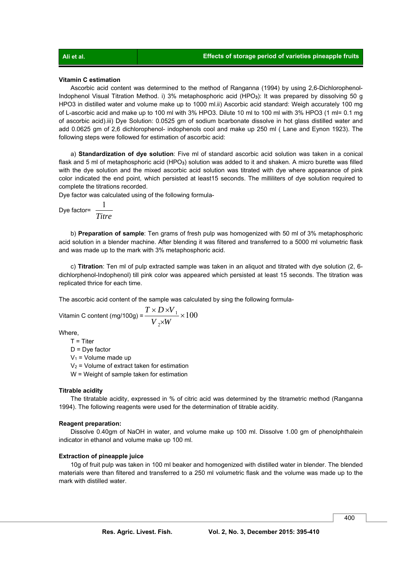#### **Vitamin C estimation**

 Ascorbic acid content was determined to the method of Ranganna (1994) by using 2,6-Dichlorophenol-Indophenol Visual Titration Method. i) 3% metaphosphoric acid (HPO**3**): It was prepared by dissolving 50 g HPO3 in distilled water and volume make up to 1000 ml.ii) Ascorbic acid standard: Weigh accurately 100 mg of L-ascorbic acid and make up to 100 ml with 3% HPO3. Dilute 10 ml to 100 ml with 3% HPO3 (1 ml= 0.1 mg of ascorbic acid).iii) Dye Solution: 0.0525 gm of sodium bcarbonate dissolve in hot glass distilled water and add 0.0625 gm of 2,6 dichlorophenol- indophenols cool and make up 250 ml ( Lane and Eynon 1923). The following steps were followed for estimation of ascorbic acid:

 a) **Standardization of dye solution**: Five ml of standard ascorbic acid solution was taken in a conical flask and 5 ml of metaphosphoric acid (HPO**3**) solution was added to it and shaken. A micro burette was filled with the dye solution and the mixed ascorbic acid solution was titrated with dye where appearance of pink color indicated the end point, which persisted at least15 seconds. The milliliters of dye solution required to complete the titrations recorded.

Dye factor was calculated using of the following formula-

$$
Dye factor = \frac{1}{Titre}
$$

 b) **Preparation of sample**: Ten grams of fresh pulp was homogenized with 50 ml of 3% metaphosphoric acid solution in a blender machine. After blending it was filtered and transferred to a 5000 ml volumetric flask and was made up to the mark with 3% metaphosphoric acid.

 c) **Titration**: Ten ml of pulp extracted sample was taken in an aliquot and titrated with dye solution (2, 6 dichlorphenol-Indophenol) till pink color was appeared which persisted at least 15 seconds. The titration was replicated thrice for each time.

The ascorbic acid content of the sample was calculated by sing the following formula-

Vitamin C content (mg/100g) = 
$$
\frac{T \times D \times V_1}{V_2 \times W} \times 100
$$

Where,

 $T =$  Titer

 $D = Dve$  factor

 $V_1$  = Volume made up

 $V_2$  = Volume of extract taken for estimation

W = Weight of sample taken for estimation

## **Titrable acidity**

 The titratable acidity, expressed in % of citric acid was determined by the titrametric method (Ranganna 1994). The following reagents were used for the determination of titrable acidity.

# **Reagent preparation:**

 Dissolve 0.40gm of NaOH in water, and volume make up 100 ml. Dissolve 1.00 gm of phenolphthalein indicator in ethanol and volume make up 100 ml.

# **Extraction of pineapple juice**

10g of fruit pulp was taken in 100 ml beaker and homogenized with distilled water in blender. The blended materials were than filtered and transferred to a 250 ml volumetric flask and the volume was made up to the mark with distilled water.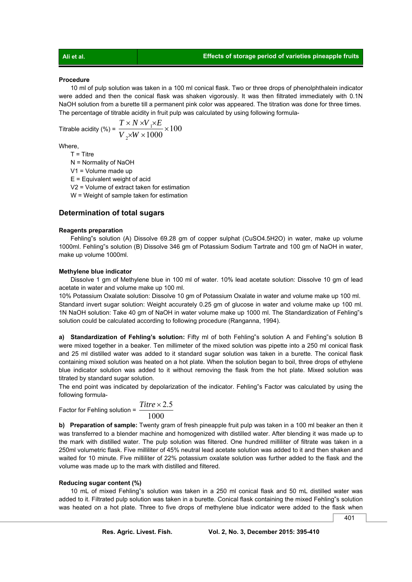#### **Procedure**

10 ml of pulp solution was taken in a 100 ml conical flask. Two or three drops of phenolphthalein indicator were added and then the conical flask was shaken vigorously. It was then filtrated immediately with 0.1N NaOH solution from a burette till a permanent pink color was appeared. The titration was done for three times. The percentage of titrable acidity in fruit pulp was calculated by using following formula-

Titrable acidity (%) = 
$$
\frac{T \times N \times V_1 \times E}{V_2 \times W \times 1000} \times 100
$$

Where,

 $T =$ Titre

N = Normality of NaOH

V1 = Volume made up

 $E =$  Equivalent weight of acid

V2 = Volume of extract taken for estimation

W = Weight of sample taken for estimation

# **Determination of total sugars**

# **Reagents preparation**

 Fehling"s solution (A) Dissolve 69.28 gm of copper sulphat (CuSO4.5H2O) in water, make up volume 1000ml. Fehling"s solution (B) Dissolve 346 gm of Potassium Sodium Tartrate and 100 gm of NaOH in water, make up volume 1000ml.

# **Methylene blue indicator**

Dissolve 1 gm of Methylene blue in 100 ml of water. 10% lead acetate solution: Dissolve 10 gm of lead acetate in water and volume make up 100 ml.

10% Potassium Oxalate solution: Dissolve 10 gm of Potassium Oxalate in water and volume make up 100 ml. Standard invert sugar solution: Weight accurately 0.25 gm of glucose in water and volume make up 100 ml. 1N NaOH solution: Take 40 gm of NaOH in water volume make up 1000 ml. The Standardization of Fehling"s solution could be calculated according to following procedure (Ranganna, 1994).

**a) Standardization of Fehling's solution:** Fifty ml of both Fehling"s solution A and Fehling"s solution B were mixed together in a beaker. Ten millimeter of the mixed solution was pipette into a 250 ml conical flask and 25 ml distilled water was added to it standard sugar solution was taken in a burette. The conical flask containing mixed solution was heated on a hot plate. When the solution began to boil, three drops of ethylene blue indicator solution was added to it without removing the flask from the hot plate. Mixed solution was titrated by standard sugar solution.

The end point was indicated by depolarization of the indicator. Fehling"s Factor was calculated by using the following formula-

Factor for Fehling solution = 
$$
\frac{Titre \times 2.5}{1000}
$$

**b) Preparation of sample:** Twenty gram of fresh pineapple fruit pulp was taken in a 100 ml beaker an then it was transferred to a blender machine and homogenized with distilled water. After blending it was made up to the mark with distilled water. The pulp solution was filtered. One hundred milliliter of filtrate was taken in a 250ml volumetric flask. Five milliliter of 45% neutral lead acetate solution was added to it and then shaken and waited for 10 minute. Five milliliter of 22% potassium oxalate solution was further added to the flask and the volume was made up to the mark with distilled and filtered.

#### **Reducing sugar content (%)**

 10 mL of mixed Fehling"s solution was taken in a 250 ml conical flask and 50 mL distilled water was added to it. Filtrated pulp solution was taken in a burette. Conical flask containing the mixed Fehling"s solution was heated on a hot plate. Three to five drops of methylene blue indicator were added to the flask when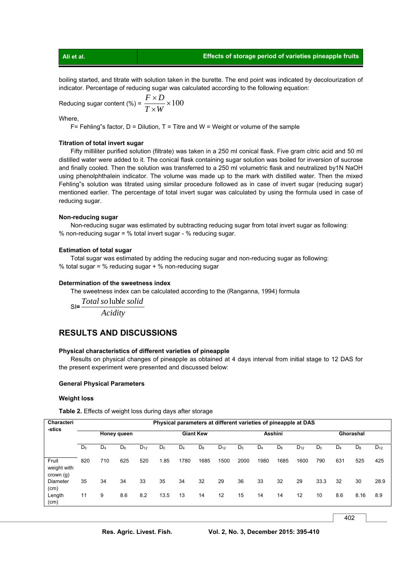# **Ali et al. Effects of storage period of varieties pineapple fruits**

boiling started, and titrate with solution taken in the burette. The end point was indicated by decolourization of indicator. Percentage of reducing sugar was calculated according to the following equation:

Reducing sugar content (%) = 
$$
\frac{F \times D}{T \times W} \times 100
$$

Where,

 $F=$  Fehling"s factor, D = Dilution, T = Titre and W = Weight or volume of the sample

# **Titration of total invert sugar**

 Fifty milliliter purified solution (filtrate) was taken in a 250 ml conical flask. Five gram citric acid and 50 ml distilled water were added to it. The conical flask containing sugar solution was boiled for inversion of sucrose and finally cooled. Then the solution was transferred to a 250 ml volumetric flask and neutralized by1N NaOH using phenolphthalein indicator. The volume was made up to the mark with distilled water. Then the mixed Fehling"s solution was titrated using similar procedure followed as in case of invert sugar (reducing sugar) mentioned earlier. The percentage of total invert sugar was calculated by using the formula used in case of reducing sugar.

## **Non-reducing sugar**

 Non-reducing sugar was estimated by subtracting reducing sugar from total invert sugar as following: % non-reducing sugar = % total invert sugar - % reducing sugar.

# **Estimation of total sugar**

 Total sugar was estimated by adding the reducing sugar and non-reducing sugar as following: % total sugar = % reducing sugar + % non-reducing sugar

# **Determination of the sweetness index**

The sweetness index can be calculated according to the (Ranganna, 1994) formula

 SI**=** *Totalso* lub*le solid Acidity*

# **RESULTS AND DISCUSSIONS**

# **Physical characteristics of different varieties of pineapple**

 Results on physical changes of pineapple as obtained at 4 days interval from initial stage to 12 DAS for the present experiment were presented and discussed below:

#### **General Physical Parameters**

# **Weight loss**

**Table 2.** Effects of weight loss during days after storage

| Characteri<br>-stics              | Physical parameters at different varieties of pineapple at DAS |                |             |          |                  |       |       |          |         |       |       |          |           |                |       |          |
|-----------------------------------|----------------------------------------------------------------|----------------|-------------|----------|------------------|-------|-------|----------|---------|-------|-------|----------|-----------|----------------|-------|----------|
|                                   |                                                                |                | Honey queen |          | <b>Giant Kew</b> |       |       |          | Asshini |       |       |          | Ghorashal |                |       |          |
|                                   | $D_0$                                                          | D <sub>4</sub> | $D_8$       | $D_{12}$ | $D_0$            | $D_4$ | $D_8$ | $D_{12}$ | $D_0$   | $D_4$ | $D_8$ | $D_{12}$ | $D_0$     | D <sub>4</sub> | $D_8$ | $D_{12}$ |
| Fruit<br>weight with<br>crown (g) | 820                                                            | 710            | 625         | 520      | 1.85             | 1780  | 1685  | 1500     | 2000    | 1980  | 1685  | 1600     | 790       | 631            | 525   | 425      |
| Diameter<br>(cm)                  | 35                                                             | 34             | 34          | 33       | 35               | 34    | 32    | 29       | 36      | 33    | 32    | 29       | 33.3      | 32             | 30    | 28.9     |
| Length<br>(cm)                    | 11                                                             | 9              | 8.6         | 8.2      | 13.5             | 13    | 14    | 12       | 15      | 14    | 14    | 12       | 10        | 8.6            | 8.16  | 8.9      |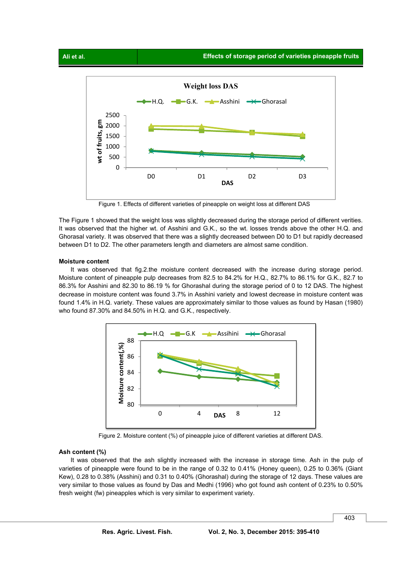

Figure 1. Effects of different varieties of pineapple on weight loss at different DAS

The Figure 1 showed that the weight loss was slightly decreased during the storage period of different verities. It was observed that the higher wt. of Asshini and G.K., so the wt. losses trends above the other H.Q. and Ghorasal variety. It was observed that there was a slightly decreased between D0 to D1 but rapidly decreased between D1 to D2. The other parameters length and diameters are almost same condition.

## **Moisture content**

 It was observed that fig.2.the moisture content decreased with the increase during storage period. Moisture content of pineapple pulp decreases from 82.5 to 84.2% for H.Q., 82.7% to 86.1% for G.K., 82.7 to 86.3% for Asshini and 82.30 to 86.19 % for Ghorashal during the storage period of 0 to 12 DAS. The highest decrease in moisture content was found 3.7% in Asshini variety and lowest decrease in moisture content was found 1.4% in H.Q. variety. These values are approximately similar to those values as found by Hasan (1980) who found 87.30% and 84.50% in H.Q. and G.K., respectively.



Figure 2. Moisture content (%) of pineapple juice of different varieties at different DAS.

# **Ash content (%)**

It was observed that the ash slightly increased with the increase in storage time. Ash in the pulp of varieties of pineapple were found to be in the range of 0.32 to 0.41% (Honey queen), 0.25 to 0.36% (Giant Kew), 0.28 to 0.38% (Asshini) and 0.31 to 0.40% (Ghorashal) during the storage of 12 days. These values are very similar to those values as found by Das and Medhi (1996) who got found ash content of 0.23% to 0.50% fresh weight (fw) pineapples which is very similar to experiment variety.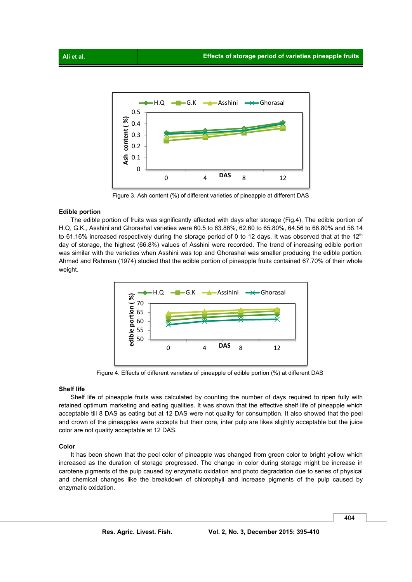

Figure 3. Ash content (%) of different varieties of pineapple at different DAS

# **Edible portion**

 The edible portion of fruits was significantly affected with days after storage (Fig.4). The edible portion of H.Q, G.K., Asshini and Ghorashal varieties were 60.5 to 63.86%, 62.60 to 65.80%, 64.56 to 66.80% and 58.14 to 61.16% increased respectively during the storage period of 0 to 12 days. It was observed that at the  $12<sup>th</sup>$ day of storage, the highest (66.8%) values of Asshini were recorded. The trend of increasing edible portion was similar with the varieties when Asshini was top and Ghorashal was smaller producing the edible portion. Ahmed and Rahman (1974) studied that the edible portion of pineapple fruits contained 67.70% of their whole weight.



Figure 4. Effects of different varieties of pineapple of edible portion (%) at different DAS

# **Shelf life**

 Shelf life of pineapple fruits was calculated by counting the number of days required to ripen fully with retained optimum marketing and eating qualities. It was shown that the effective shelf life of pineapple which acceptable till 8 DAS as eating but at 12 DAS were not quality for consumption. It also showed that the peel and crown of the pineapples were accepts but their core, inter pulp are likes slightly acceptable but the juice color are not quality acceptable at 12 DAS.

## **Color**

 It has been shown that the peel color of pineapple was changed from green color to bright yellow which increased as the duration of storage progressed. The change in color during storage might be increase in carotene pigments of the pulp caused by enzymatic oxidation and photo degradation due to series of physical and chemical changes like the breakdown of chlorophyll and increase pigments of the pulp caused by enzymatic oxidation.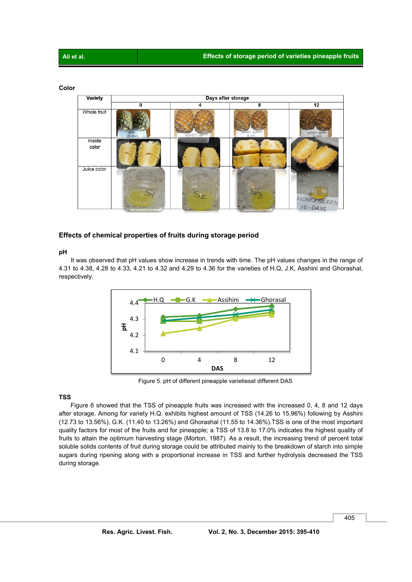# **Color**

| <b>Variety</b> | Days after storage |               |                    |             |  |  |  |  |  |  |  |  |
|----------------|--------------------|---------------|--------------------|-------------|--|--|--|--|--|--|--|--|
|                | $\bf{0}$           | 4             | 8                  | 12          |  |  |  |  |  |  |  |  |
| Whole fruit    |                    |               | NEY QUEEN<br>8 DAS | HONEY QUEEN |  |  |  |  |  |  |  |  |
| Inside         |                    |               |                    |             |  |  |  |  |  |  |  |  |
| color          |                    |               |                    |             |  |  |  |  |  |  |  |  |
| Juice color    |                    | $\rightarrow$ |                    | HONEY QUEEN |  |  |  |  |  |  |  |  |
|                |                    |               |                    |             |  |  |  |  |  |  |  |  |

# **Effects of chemical properties of fruits during storage period**

# **pH**

 It was observed that pH values show increase in trends with time. The pH values changes in the range of 4.31 to 4.38, 4.28 to 4.33, 4.21 to 4.32 and 4.29 to 4.36 for the varieties of H.Q, J.K, Asshini and Ghorashal, respectively.



Figure 5. pH of different pineapple varietiesat different DAS

# **TSS**

 Figure 6 showed that the TSS of pineapple fruits was increased with the increased 0, 4, 8 and 12 days after storage. Among for variety H.Q. exhibits highest amount of TSS (14.26 to 15.96%) following by Asshini (12.73 to 13.56%), G.K. (11.40 to 13.26%) and Ghorashal (11.55 to 14.36%).TSS is one of the most important quality factors for most of the fruits and for pineapple; a TSS of 13.8 to 17.0% indicates the highest quality of fruits to attain the optimum harvesting stage (Morton, 1987). As a result, the increasing trend of percent total soluble solids contents of fruit during storage could be attributed mainly to the breakdown of starch into simple sugars during ripening along with a proportional increase in TSS and further hydrolysis decreased the TSS during storage.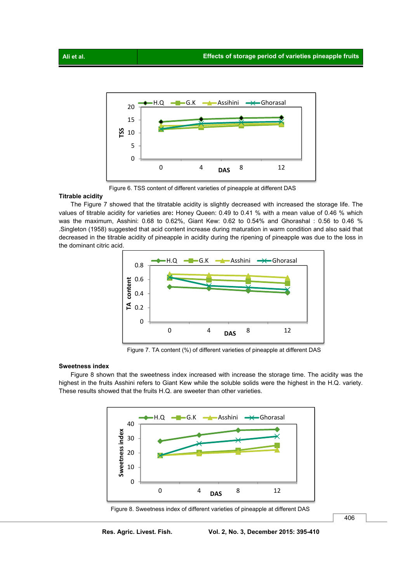

Figure 6. TSS content of different varieties of pineapple at different DAS

# **Titrable acidity**

 The Figure 7 showed that the titratable acidity is slightly decreased with increased the storage life. The values of titrable acidity for varieties are**:** Honey Queen: 0.49 to 0.41 % with a mean value of 0.46 % which was the maximum, Asshini: 0.68 to 0.62%, Giant Kew: 0.62 to 0.54% and Ghorashal : 0.56 to 0.46 % .Singleton (1958) suggested that acid content increase during maturation in warm condition and also said that decreased in the titrable acidity of pineapple in acidity during the ripening of pineapple was due to the loss in the dominant citric acid.



Figure 7. TA content (%) of different varieties of pineapple at different DAS

# **Sweetness index**

 Figure 8 shown that the sweetness index increased with increase the storage time. The acidity was the highest in the fruits Asshini refers to Giant Kew while the soluble solids were the highest in the H.Q. variety. These results showed that the fruits H.Q. are sweeter than other varieties.



Figure 8. Sweetness index of different varieties of pineapple at different DAS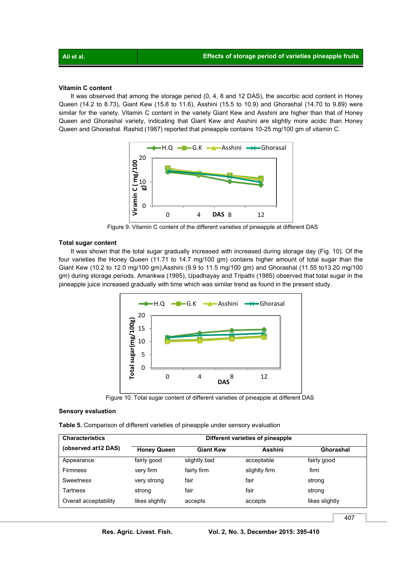# **Vitamin C content**

 It was observed that among the storage period (0, 4, 8 and 12 DAS), the ascorbic acid content in Honey Queen (14.2 to 8.73), Giant Kew (15.8 to 11.6), Asshini (15.5 to 10.9) and Ghorashal (14.70 to 9.89) were similar for the variety. Vitamin C content in the variety Giant Kew and Asshini are higher than that of Honey Queen and Ghorashal variety, indicating that Giant Kew and Asshini are slightly more acidic than Honey Queen and Ghorashal. Rashid (1987) reported that pineapple contains 10-25 mg/100 gm of vitamin C.



Figure 9. Vitamin C content of the different varieties of pineapple at different DAS

# **Total sugar content**

 It was shown that the total sugar gradually increased with increased during storage day (Fig. 10). Of the four varieties the Honey Queen (11.71 to 14.7 mg/100 gm) contains higher amount of total sugar than the Giant Kew (10.2 to 12.0 mg/100 gm),Asshini (9.9 to 11.5 mg/100 gm) and Ghorashal (11.55 to13.20 mg/100 gm) during storage periods. Amankwa (1995), Upadhayay and Tripathi (1985) observed that total sugar in the pineapple juice increased gradually with time which was similar trend as found in the present study.



Figure 10. Total sugar content of different varieties of pineapple at different DAS

# **Sensory evaluation**

**Table 5.** Comparison of different varieties of pineapple under sensory evaluation

| <b>Characteristics</b> | Different varieties of pineapple |                  |                |                  |  |  |  |  |  |  |
|------------------------|----------------------------------|------------------|----------------|------------------|--|--|--|--|--|--|
| (observed at 12 DAS)   | <b>Honey Queen</b>               | <b>Giant Kew</b> | <b>Asshini</b> | <b>Ghorashal</b> |  |  |  |  |  |  |
| Appearance             | fairly good                      | slightly bad     | acceptable     | fairly good      |  |  |  |  |  |  |
| <b>Firmness</b>        | very firm                        | fairly firm      | slightly firm  | firm             |  |  |  |  |  |  |
| Sweetness              | very strong                      | fair             | fair           | strong           |  |  |  |  |  |  |
| Tartness               | strong                           | fair             | fair           | strong           |  |  |  |  |  |  |
| Overall acceptability  | likes slightly                   | accepts          | accepts        | likes slightly   |  |  |  |  |  |  |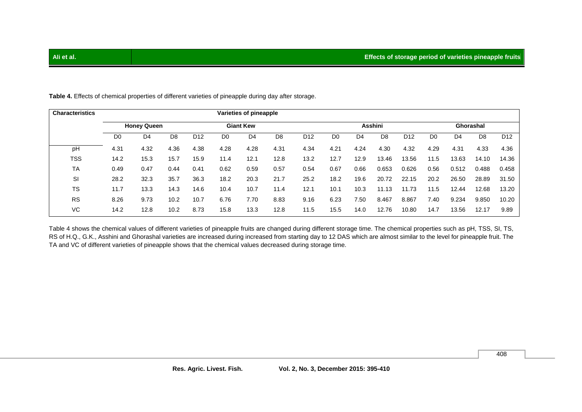| <b>Characteristics</b> |                | Varieties of pineapple                 |                |                 |                |      |                |                 |                |                |       |                 |                |                |       |                 |
|------------------------|----------------|----------------------------------------|----------------|-----------------|----------------|------|----------------|-----------------|----------------|----------------|-------|-----------------|----------------|----------------|-------|-----------------|
|                        |                | <b>Honey Queen</b><br><b>Giant Kew</b> |                |                 |                |      |                |                 | <b>Asshini</b> |                |       |                 | Ghorashal      |                |       |                 |
|                        | D <sub>0</sub> | D <sub>4</sub>                         | D <sub>8</sub> | D <sub>12</sub> | D <sub>0</sub> | D4   | D <sub>8</sub> | D <sub>12</sub> | D <sub>0</sub> | D <sub>4</sub> | D8    | D <sub>12</sub> | D <sub>0</sub> | D <sub>4</sub> | D8    | D <sub>12</sub> |
| pH                     | 4.31           | 4.32                                   | 4.36           | 4.38            | 4.28           | 4.28 | 4.31           | 4.34            | 4.21           | 4.24           | 4.30  | 4.32            | 4.29           | 4.31           | 4.33  | 4.36            |
| <b>TSS</b>             | 14.2           | 15.3                                   | 15.7           | 15.9            | 11.4           | 12.1 | 12.8           | 13.2            | 12.7           | 12.9           | 13.46 | 13.56           | 11.5           | 13.63          | 14.10 | 14.36           |
| <b>TA</b>              | 0.49           | 0.47                                   | 0.44           | 0.41            | 0.62           | 0.59 | 0.57           | 0.54            | 0.67           | 0.66           | 0.653 | 0.626           | 0.56           | 0.512          | 0.488 | 0.458           |
| SI                     | 28.2           | 32.3                                   | 35.7           | 36.3            | 18.2           | 20.3 | 21.7           | 25.2            | 18.2           | 19.6           | 20.72 | 22.15           | 20.2           | 26.50          | 28.89 | 31.50           |
| <b>TS</b>              | 11.7           | 13.3                                   | 14.3           | 14.6            | 10.4           | 10.7 | 11.4           | 12.1            | 10.1           | 10.3           | 11.13 | 11.73           | 11.5           | 12.44          | 12.68 | 13.20           |
| <b>RS</b>              | 8.26           | 9.73                                   | 10.2           | 10.7            | 6.76           | 7.70 | 8.83           | 9.16            | 6.23           | 7.50           | 8.467 | 8.867           | 7.40           | 9.234          | 9.850 | 10.20           |
| VC                     | 14.2           | 12.8                                   | 10.2           | 8.73            | 15.8           | 13.3 | 12.8           | 11.5            | 15.5           | 14.0           | 12.76 | 10.80           | 14.7           | 13.56          | 12.17 | 9.89            |

**Table 4.** Effects of chemical properties of different varieties of pineapple during day after storage.

Table 4 shows the chemical values of different varieties of pineapple fruits are changed during different storage time. The chemical properties such as pH, TSS, SI, TS, RS of H.Q., G.K., Asshini and Ghorashal varieties are increased during increased from starting day to 12 DAS which are almost similar to the level for pineapple fruit. The TA and VC of different varieties of pineapple shows that the chemical values decreased during storage time.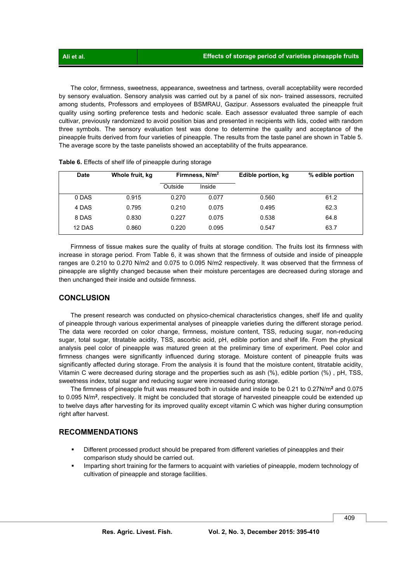The color, firmness, sweetness, appearance, sweetness and tartness, overall acceptability were recorded by sensory evaluation. Sensory analysis was carried out by a panel of six non- trained assessors, recruited among students, Professors and employees of BSMRAU, Gazipur. Assessors evaluated the pineapple fruit quality using sorting preference tests and hedonic scale. Each assessor evaluated three sample of each cultivar, previously randomized to avoid position bias and presented in recipients with lids, coded with random three symbols. The sensory evaluation test was done to determine the quality and acceptance of the pineapple fruits derived from four varieties of pineapple. The results from the taste panel are shown in Table 5. The average score by the taste panelists showed an acceptability of the fruits appearance.

| <b>Date</b> | Whole fruit, kg | Firmness, N/m <sup>2</sup> |        | Edible portion, kg | % edible portion |
|-------------|-----------------|----------------------------|--------|--------------------|------------------|
|             |                 | Outside                    | Inside |                    |                  |
| 0 DAS       | 0.915           | 0.270                      | 0.077  | 0.560              | 61.2             |
| 4 DAS       | 0.795           | 0.210                      | 0.075  | 0.495              | 62.3             |
| 8 DAS       | 0.830           | 0.227                      | 0.075  | 0.538              | 64.8             |
| 12 DAS      | 0.860           | 0.220                      | 0.095  | 0.547              | 63.7             |

 Firmness of tissue makes sure the quality of fruits at storage condition. The fruits lost its firmness with increase in storage period. From Table 6, it was shown that the firmness of outside and inside of pineapple ranges are 0.210 to 0.270 N/m2 and 0.075 to 0.095 N/m2 respectively. It was observed that the firmness of pineapple are slightly changed because when their moisture percentages are decreased during storage and then unchanged their inside and outside firmness.

# **CONCLUSION**

 The present research was conducted on physico-chemical characteristics changes, shelf life and quality of pineapple through various experimental analyses of pineapple varieties during the different storage period. The data were recorded on color change, firmness, moisture content, TSS, reducing sugar, non-reducing sugar, total sugar, titratable acidity, TSS, ascorbic acid, pH, edible portion and shelf life. From the physical analysis peel color of pineapple was matured green at the preliminary time of experiment. Peel color and firmness changes were significantly influenced during storage. Moisture content of pineapple fruits was significantly affected during storage. From the analysis it is found that the moisture content, titratable acidity, Vitamin C were decreased during storage and the properties such as ash (%), edible portion (%) , pH, TSS, sweetness index, total sugar and reducing sugar were increased during storage.

 The firmness of pineapple fruit was measured both in outside and inside to be 0.21 to 0.27N/m**<sup>2</sup>** and 0.075 to 0.095 N/m**<sup>2</sup>**, respectively. It might be concluded that storage of harvested pineapple could be extended up to twelve days after harvesting for its improved quality except vitamin C which was higher during consumption right after harvest.

# **RECOMMENDATIONS**

- Different processed product should be prepared from different varieties of pineapples and their comparison study should be carried out.
- Imparting short training for the farmers to acquaint with varieties of pineapple, modern technology of cultivation of pineapple and storage facilities.